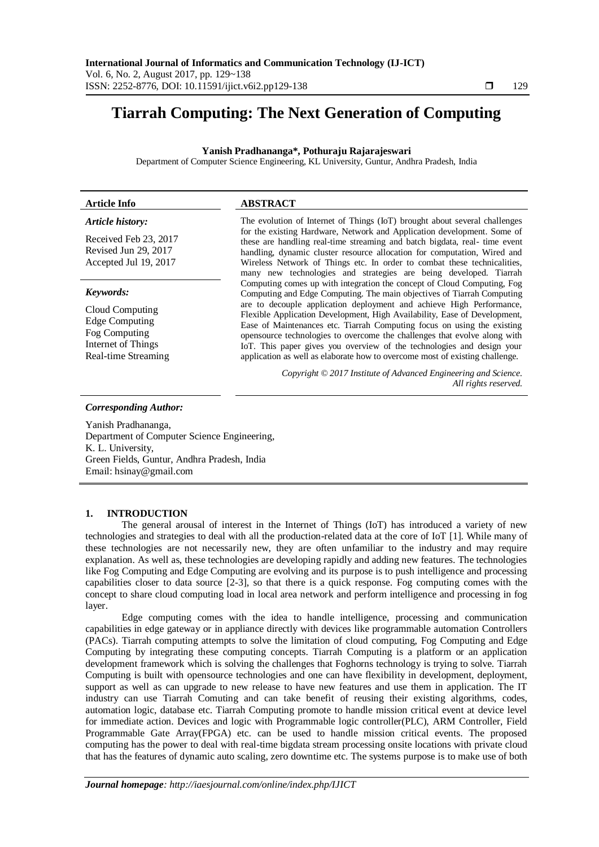# **Tiarrah Computing: The Next Generation of Computing**

# **Yanish Pradhananga\*, Pothuraju Rajarajeswari**

Department of Computer Science Engineering, KL University, Guntur, Andhra Pradesh, India

# **Article Info ABSTRACT**

# *Article history:*

Received Feb 23, 2017 Revised Jun 29, 2017 Accepted Jul 19, 2017

#### *Keywords:*

Cloud Computing Edge Computing Fog Computing Internet of Things Real-time Streaming

The evolution of Internet of Things (IoT) brought about several challenges for the existing Hardware, Network and Application development. Some of these are handling real-time streaming and batch bigdata, real- time event handling, dynamic cluster resource allocation for computation, Wired and Wireless Network of Things etc. In order to combat these technicalities, many new technologies and strategies are being developed. Tiarrah Computing comes up with integration the concept of Cloud Computing, Fog Computing and Edge Computing. The main objectives of Tiarrah Computing are to decouple application deployment and achieve High Performance, Flexible Application Development, High Availability, Ease of Development, Ease of Maintenances etc. Tiarrah Computing focus on using the existing opensource technologies to overcome the challenges that evolve along with IoT. This paper gives you overview of the technologies and design your application as well as elaborate how to overcome most of existing challenge.

> *Copyright © 2017 Institute of Advanced Engineering and Science. All rights reserved.*

# *Corresponding Author:*

Yanish Pradhananga, Department of Computer Science Engineering, K. L. University, Green Fields, Guntur, Andhra Pradesh, India Email: hsinay@gmail.com

# **1. INTRODUCTION**

The general arousal of interest in the Internet of Things (IoT) has introduced a variety of new technologies and strategies to deal with all the production-related data at the core of IoT [1]. While many of these technologies are not necessarily new, they are often unfamiliar to the industry and may require explanation. As well as, these technologies are developing rapidly and adding new features. The technologies like Fog Computing and Edge Computing are evolving and its purpose is to push intelligence and processing capabilities closer to data source [2-3], so that there is a quick response. Fog computing comes with the concept to share cloud computing load in local area network and perform intelligence and processing in fog layer.

Edge computing comes with the idea to handle intelligence, processing and communication capabilities in edge gateway or in appliance directly with devices like programmable automation Controllers (PACs). Tiarrah computing attempts to solve the limitation of cloud computing, Fog Computing and Edge Computing by integrating these computing concepts. Tiarrah Computing is a platform or an application development framework which is solving the challenges that Foghorns technology is trying to solve. Tiarrah Computing is built with opensource technologies and one can have flexibility in development, deployment, support as well as can upgrade to new release to have new features and use them in application. The IT industry can use Tiarrah Comuting and can take benefit of reusing their existing algorithms, codes, automation logic, database etc. Tiarrah Computing promote to handle mission critical event at device level for immediate action. Devices and logic with Programmable logic controller(PLC), ARM Controller, Field Programmable Gate Array(FPGA) etc. can be used to handle mission critical events. The proposed computing has the power to deal with real-time bigdata stream processing onsite locations with private cloud that has the features of dynamic auto scaling, zero downtime etc. The systems purpose is to make use of both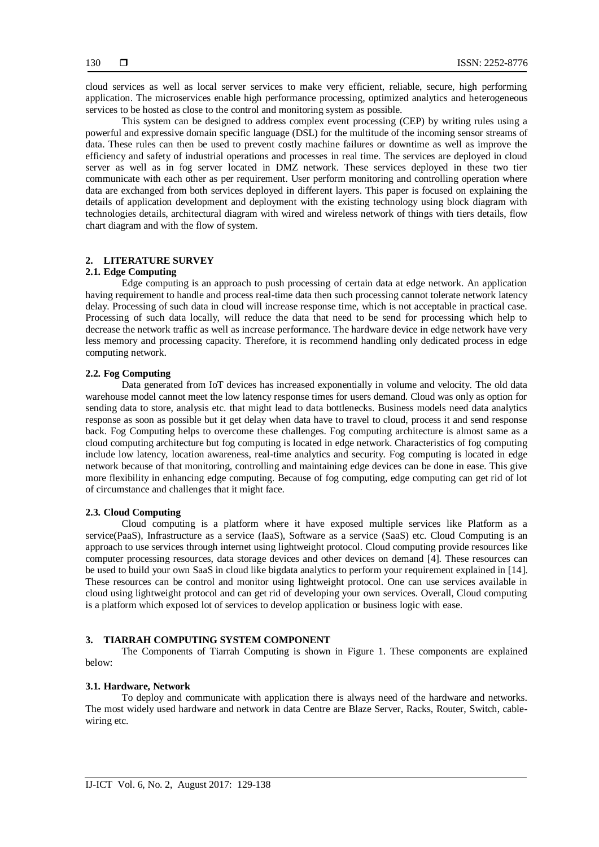cloud services as well as local server services to make very efficient, reliable, secure, high performing application. The microservices enable high performance processing, optimized analytics and heterogeneous services to be hosted as close to the control and monitoring system as possible.

This system can be designed to address complex event processing (CEP) by writing rules using a powerful and expressive domain specific language (DSL) for the multitude of the incoming sensor streams of data. These rules can then be used to prevent costly machine failures or downtime as well as improve the efficiency and safety of industrial operations and processes in real time. The services are deployed in cloud server as well as in fog server located in DMZ network. These services deployed in these two tier communicate with each other as per requirement. User perform monitoring and controlling operation where data are exchanged from both services deployed in different layers. This paper is focused on explaining the details of application development and deployment with the existing technology using block diagram with technologies details, architectural diagram with wired and wireless network of things with tiers details, flow chart diagram and with the flow of system.

# **2. LITERATURE SURVEY**

# **2.1. Edge Computing**

Edge computing is an approach to push processing of certain data at edge network. An application having requirement to handle and process real-time data then such processing cannot tolerate network latency delay. Processing of such data in cloud will increase response time, which is not acceptable in practical case. Processing of such data locally, will reduce the data that need to be send for processing which help to decrease the network traffic as well as increase performance. The hardware device in edge network have very less memory and processing capacity. Therefore, it is recommend handling only dedicated process in edge computing network.

# **2.2. Fog Computing**

Data generated from IoT devices has increased exponentially in volume and velocity. The old data warehouse model cannot meet the low latency response times for users demand. Cloud was only as option for sending data to store, analysis etc. that might lead to data bottlenecks. Business models need data analytics response as soon as possible but it get delay when data have to travel to cloud, process it and send response back. Fog Computing helps to overcome these challenges. Fog computing architecture is almost same as a cloud computing architecture but fog computing is located in edge network. Characteristics of fog computing include low latency, location awareness, real-time analytics and security. Fog computing is located in edge network because of that monitoring, controlling and maintaining edge devices can be done in ease. This give more flexibility in enhancing edge computing. Because of fog computing, edge computing can get rid of lot of circumstance and challenges that it might face.

# **2.3. Cloud Computing**

Cloud computing is a platform where it have exposed multiple services like Platform as a service(PaaS), Infrastructure as a service (IaaS), Software as a service (SaaS) etc. Cloud Computing is an approach to use services through internet using lightweight protocol. Cloud computing provide resources like computer processing resources, data storage devices and other devices on demand [4]. These resources can be used to build your own SaaS in cloud like bigdata analytics to perform your requirement explained in [14]. These resources can be control and monitor using lightweight protocol. One can use services available in cloud using lightweight protocol and can get rid of developing your own services. Overall, Cloud computing is a platform which exposed lot of services to develop application or business logic with ease.

# **3. TIARRAH COMPUTING SYSTEM COMPONENT**

The Components of Tiarrah Computing is shown in Figure 1. These components are explained below:

## **3.1. Hardware, Network**

To deploy and communicate with application there is always need of the hardware and networks. The most widely used hardware and network in data Centre are Blaze Server, Racks, Router, Switch, cablewiring etc.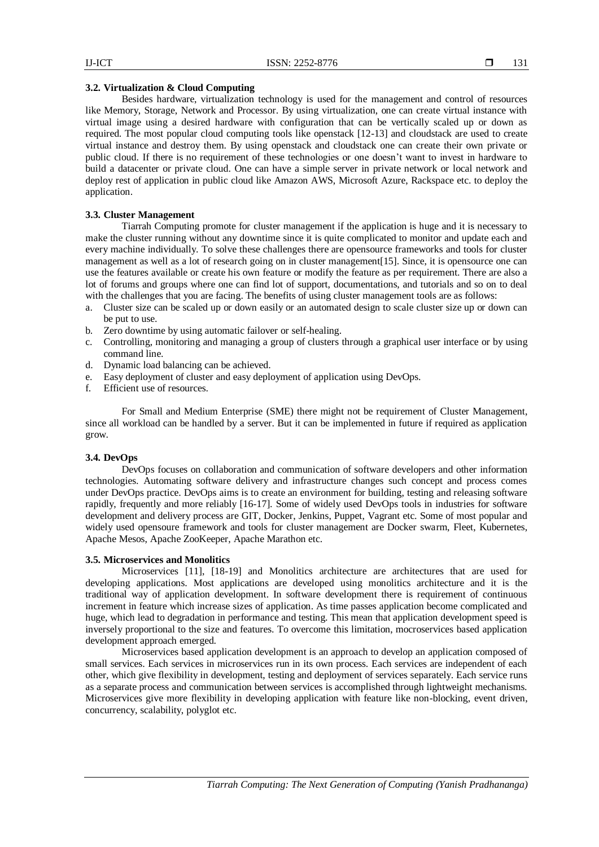#### **3.2. Virtualization & Cloud Computing**

Besides hardware, virtualization technology is used for the management and control of resources like Memory, Storage, Network and Processor. By using virtualization, one can create virtual instance with virtual image using a desired hardware with configuration that can be vertically scaled up or down as required. The most popular cloud computing tools like openstack [12-13] and cloudstack are used to create virtual instance and destroy them. By using openstack and cloudstack one can create their own private or public cloud. If there is no requirement of these technologies or one doesn't want to invest in hardware to build a datacenter or private cloud. One can have a simple server in private network or local network and deploy rest of application in public cloud like Amazon AWS, Microsoft Azure, Rackspace etc. to deploy the application.

# **3.3. Cluster Management**

Tiarrah Computing promote for cluster management if the application is huge and it is necessary to make the cluster running without any downtime since it is quite complicated to monitor and update each and every machine individually. To solve these challenges there are opensource frameworks and tools for cluster management as well as a lot of research going on in cluster management[15]. Since, it is opensource one can use the features available or create his own feature or modify the feature as per requirement. There are also a lot of forums and groups where one can find lot of support, documentations, and tutorials and so on to deal with the challenges that you are facing. The benefits of using cluster management tools are as follows:

- a. Cluster size can be scaled up or down easily or an automated design to scale cluster size up or down can be put to use.
- b. Zero downtime by using automatic failover or self-healing.
- c. Controlling, monitoring and managing a group of clusters through a graphical user interface or by using command line.
- d. Dynamic load balancing can be achieved.
- e. Easy deployment of cluster and easy deployment of application using DevOps.
- f. Efficient use of resources.

For Small and Medium Enterprise (SME) there might not be requirement of Cluster Management, since all workload can be handled by a server. But it can be implemented in future if required as application grow.

# **3.4. DevOps**

DevOps focuses on collaboration and communication of software developers and other information technologies. Automating software delivery and infrastructure changes such concept and process comes under DevOps practice. DevOps aims is to create an environment for building, testing and releasing software rapidly, frequently and more reliably [16-17]. Some of widely used DevOps tools in industries for software development and delivery process are GIT, Docker, Jenkins, Puppet, Vagrant etc. Some of most popular and widely used opensoure framework and tools for cluster management are Docker swarm, Fleet, Kubernetes, Apache Mesos, Apache ZooKeeper, Apache Marathon etc.

# **3.5. Microservices and Monolitics**

Microservices [11], [18-19] and Monolitics architecture are architectures that are used for developing applications. Most applications are developed using monolitics architecture and it is the traditional way of application development. In software development there is requirement of continuous increment in feature which increase sizes of application. As time passes application become complicated and huge, which lead to degradation in performance and testing. This mean that application development speed is inversely proportional to the size and features. To overcome this limitation, mocroservices based application development approach emerged.

Microservices based application development is an approach to develop an application composed of small services. Each services in microservices run in its own process. Each services are independent of each other, which give flexibility in development, testing and deployment of services separately. Each service runs as a separate process and communication between services is accomplished through lightweight mechanisms. Microservices give more flexibility in developing application with feature like non-blocking, event driven, concurrency, scalability, polyglot etc.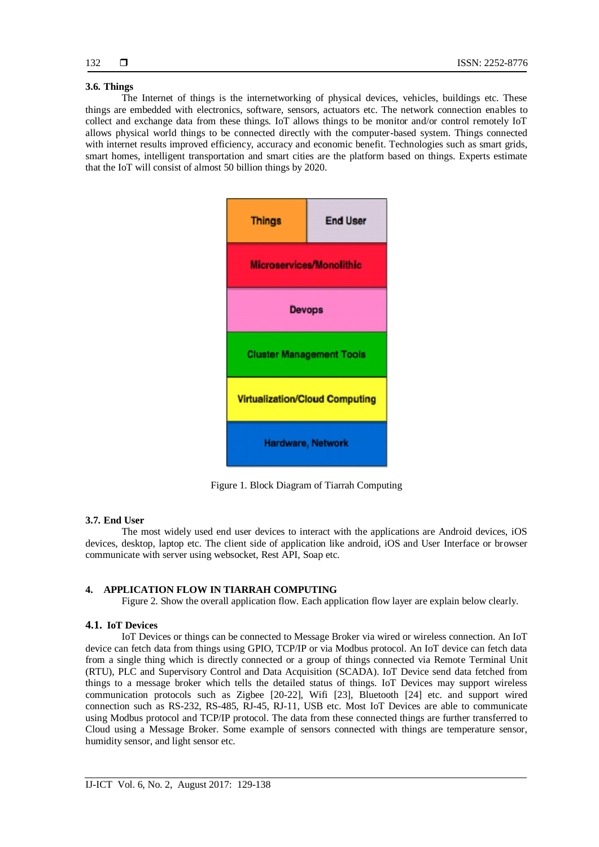# **3.6. Things**

The Internet of things is the internetworking of physical devices, vehicles, buildings etc. These things are embedded with electronics, software, sensors, actuators etc. The network connection enables to collect and exchange data from these things. IoT allows things to be monitor and/or control remotely IoT allows physical world things to be connected directly with the computer-based system. Things connected with internet results improved efficiency, accuracy and economic benefit. Technologies such as smart grids, smart homes, intelligent transportation and smart cities are the platform based on things. Experts estimate that the IoT will consist of almost 50 billion things by 2020.



Figure 1. Block Diagram of Tiarrah Computing

#### **3.7. End User**

The most widely used end user devices to interact with the applications are Android devices, iOS devices, desktop, laptop etc. The client side of application like android, iOS and User Interface or browser communicate with server using websocket, Rest API, Soap etc.

# **4. APPLICATION FLOW IN TIARRAH COMPUTING**

Figure 2. Show the overall application flow. Each application flow layer are explain below clearly.

# **4.1. IoT Devices**

IoT Devices or things can be connected to Message Broker via wired or wireless connection. An IoT device can fetch data from things using GPIO, TCP/IP or via Modbus protocol. An IoT device can fetch data from a single thing which is directly connected or a group of things connected via Remote Terminal Unit (RTU), PLC and Supervisory Control and Data Acquisition (SCADA). IoT Device send data fetched from things to a message broker which tells the detailed status of things. IoT Devices may support wireless communication protocols such as Zigbee [20-22], Wifi [23], Bluetooth [24] etc. and support wired connection such as RS-232, RS-485, RJ-45, RJ-11, USB etc. Most IoT Devices are able to communicate using Modbus protocol and TCP/IP protocol. The data from these connected things are further transferred to Cloud using a Message Broker. Some example of sensors connected with things are temperature sensor, humidity sensor, and light sensor etc.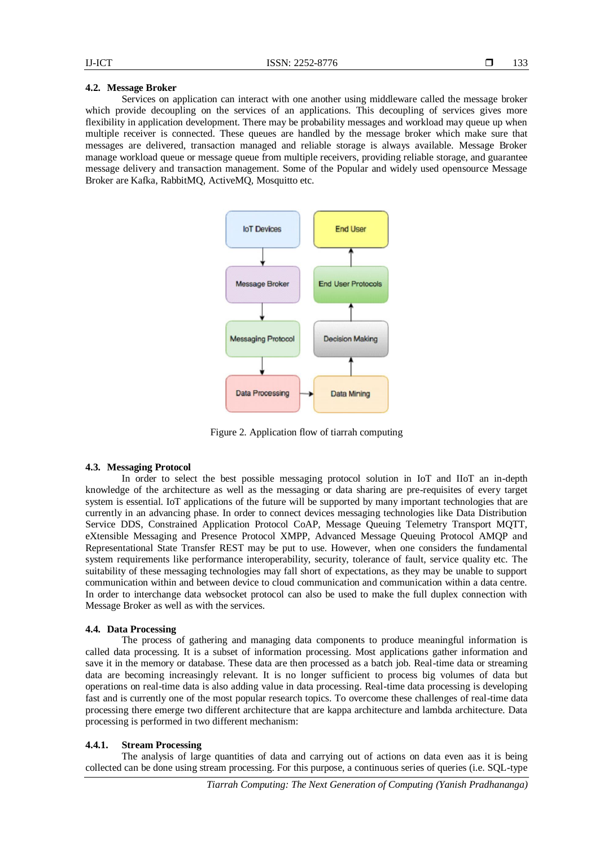# **4.2. Message Broker**

Services on application can interact with one another using middleware called the message broker which provide decoupling on the services of an applications. This decoupling of services gives more flexibility in application development. There may be probability messages and workload may queue up when multiple receiver is connected. These queues are handled by the message broker which make sure that messages are delivered, transaction managed and reliable storage is always available. Message Broker manage workload queue or message queue from multiple receivers, providing reliable storage, and guarantee message delivery and transaction management. Some of the Popular and widely used opensource Message Broker are Kafka, RabbitMQ, ActiveMQ, Mosquitto etc.



Figure 2. Application flow of tiarrah computing

# **4.3. Messaging Protocol**

In order to select the best possible messaging protocol solution in IoT and IIoT an in-depth knowledge of the architecture as well as the messaging or data sharing are pre-requisites of every target system is essential. IoT applications of the future will be supported by many important technologies that are currently in an advancing phase. In order to connect devices messaging technologies like Data Distribution Service DDS, Constrained Application Protocol CoAP, Message Queuing Telemetry Transport MQTT, eXtensible Messaging and Presence Protocol XMPP, Advanced Message Queuing Protocol AMQP and Representational State Transfer REST may be put to use. However, when one considers the fundamental system requirements like performance interoperability, security, tolerance of fault, service quality etc. The suitability of these messaging technologies may fall short of expectations, as they may be unable to support communication within and between device to cloud communication and communication within a data centre. In order to interchange data websocket protocol can also be used to make the full duplex connection with Message Broker as well as with the services.

#### **4.4. Data Processing**

The process of gathering and managing data components to produce meaningful information is called data processing. It is a subset of information processing. Most applications gather information and save it in the memory or database. These data are then processed as a batch job. Real-time data or streaming data are becoming increasingly relevant. It is no longer sufficient to process big volumes of data but operations on real-time data is also adding value in data processing. Real-time data processing is developing fast and is currently one of the most popular research topics. To overcome these challenges of real-time data processing there emerge two different architecture that are kappa architecture and lambda architecture. Data processing is performed in two different mechanism:

#### **4.4.1. Stream Processing**

The analysis of large quantities of data and carrying out of actions on data even aas it is being collected can be done using stream processing. For this purpose, a continuous series of queries (i.e. SQL-type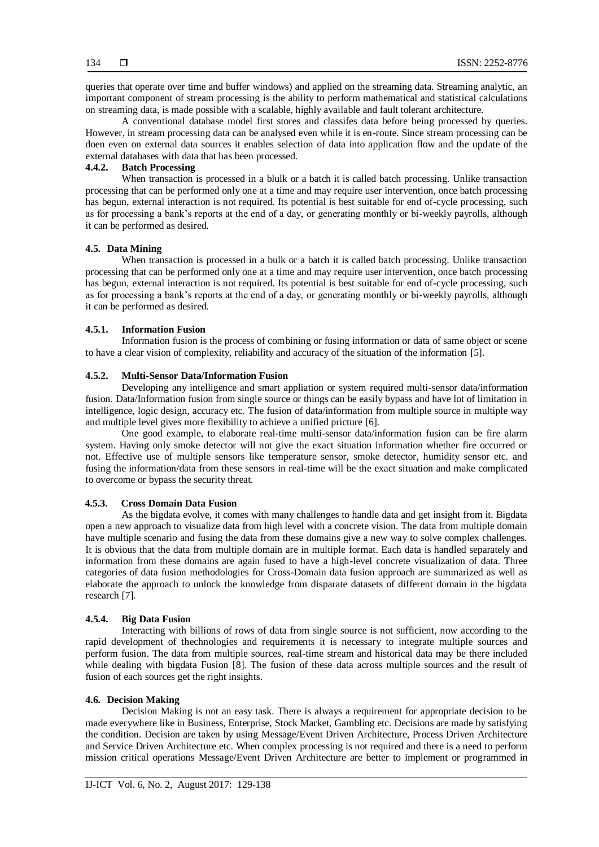queries that operate over time and buffer windows) and applied on the streaming data. Streaming analytic, an important component of stream processing is the ability to perform mathematical and statistical calculations on streaming data, is made possible with a scalable, highly available and fault tolerant architecture.

A conventional database model first stores and classifes data before being processed by queries. However, in stream processing data can be analysed even while it is en-route. Since stream processing can be doen even on external data sources it enables selection of data into application flow and the update of the external databases with data that has been processed.

# **4.4.2. Batch Processing**

When transaction is processed in a blulk or a batch it is called batch processing. Unlike transaction processing that can be performed only one at a time and may require user intervention, once batch processing has begun, external interaction is not required. Its potential is best suitable for end of-cycle processing, such as for processing a bank's reports at the end of a day, or generating monthly or bi-weekly payrolls, although it can be performed as desired.

# **4.5. Data Mining**

When transaction is processed in a bulk or a batch it is called batch processing. Unlike transaction processing that can be performed only one at a time and may require user intervention, once batch processing has begun, external interaction is not required. Its potential is best suitable for end of-cycle processing, such as for processing a bank's reports at the end of a day, or generating monthly or bi-weekly payrolls, although it can be performed as desired.

# **4.5.1. Information Fusion**

Information fusion is the process of combining or fusing information or data of same object or scene to have a clear vision of complexity, reliability and accuracy of the situation of the information [5].

# **4.5.2. Multi-Sensor Data/Information Fusion**

Developing any intelligence and smart appliation or system required multi-sensor data/information fusion. Data/Information fusion from single source or things can be easily bypass and have lot of limitation in intelligence, logic design, accuracy etc. The fusion of data/information from multiple source in multiple way and multiple level gives more flexibility to achieve a unified pricture [6].

One good example, to elaborate real-time multi-sensor data/information fusion can be fire alarm system. Having only smoke detector will not give the exact situation information whether fire occurred or not. Effective use of multiple sensors like temperature sensor, smoke detector, humidity sensor etc. and fusing the information/data from these sensors in real-time will be the exact situation and make complicated to overcome or bypass the security threat.

# **4.5.3. Cross Domain Data Fusion**

As the bigdata evolve, it comes with many challenges to handle data and get insight from it. Bigdata open a new approach to visualize data from high level with a concrete vision. The data from multiple domain have multiple scenario and fusing the data from these domains give a new way to solve complex challenges. It is obvious that the data from multiple domain are in multiple format. Each data is handled separately and information from these domains are again fused to have a high-level concrete visualization of data. Three categories of data fusion methodologies for Cross-Domain data fusion approach are summarized as well as elaborate the approach to unlock the knowledge from disparate datasets of different domain in the bigdata research [7].

#### **4.5.4. Big Data Fusion**

Interacting with billions of rows of data from single source is not sufficient, now according to the rapid development of thechnologies and requirements it is necessary to integrate multiple sources and perform fusion. The data from multiple sources, real-time stream and historical data may be there included while dealing with bigdata Fusion [8]. The fusion of these data across multiple sources and the result of fusion of each sources get the right insights.

#### **4.6. Decision Making**

Decision Making is not an easy task. There is always a requirement for appropriate decision to be made everywhere like in Business, Enterprise, Stock Market, Gambling etc. Decisions are made by satisfying the condition. Decision are taken by using Message/Event Driven Architecture, Process Driven Architecture and Service Driven Architecture etc. When complex processing is not required and there is a need to perform mission critical operations Message/Event Driven Architecture are better to implement or programmed in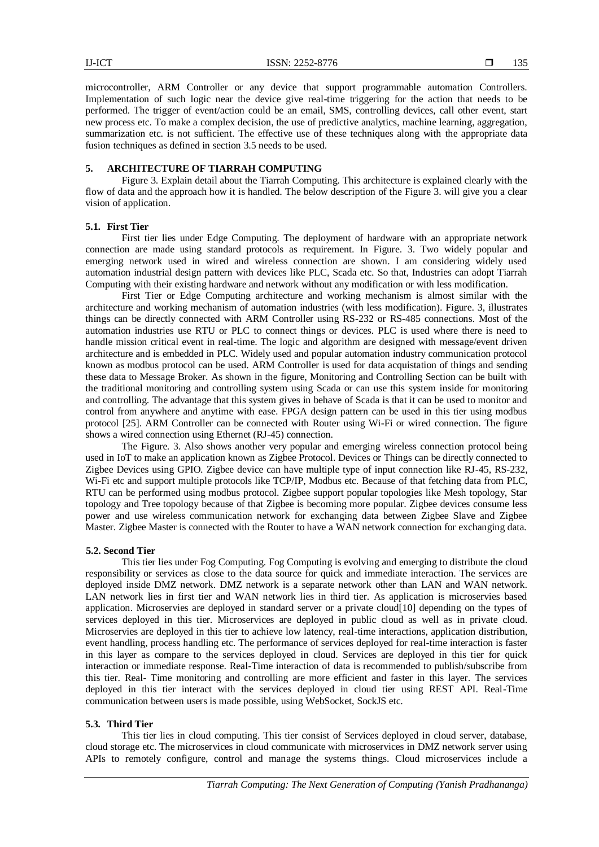microcontroller, ARM Controller or any device that support programmable automation Controllers. Implementation of such logic near the device give real-time triggering for the action that needs to be performed. The trigger of event/action could be an email, SMS, controlling devices, call other event, start new process etc. To make a complex decision, the use of predictive analytics, machine learning, aggregation, summarization etc. is not sufficient. The effective use of these techniques along with the appropriate data fusion techniques as defined in section 3.5 needs to be used.

# **5. ARCHITECTURE OF TIARRAH COMPUTING**

Figure 3. Explain detail about the Tiarrah Computing. This architecture is explained clearly with the flow of data and the approach how it is handled. The below description of the Figure 3. will give you a clear vision of application.

#### **5.1. First Tier**

First tier lies under Edge Computing. The deployment of hardware with an appropriate network connection are made using standard protocols as requirement. In Figure. 3. Two widely popular and emerging network used in wired and wireless connection are shown. I am considering widely used automation industrial design pattern with devices like PLC, Scada etc. So that, Industries can adopt Tiarrah Computing with their existing hardware and network without any modification or with less modification.

First Tier or Edge Computing architecture and working mechanism is almost similar with the architecture and working mechanism of automation industries (with less modification). Figure. 3, illustrates things can be directly connected with ARM Controller using RS-232 or RS-485 connections. Most of the automation industries use RTU or PLC to connect things or devices. PLC is used where there is need to handle mission critical event in real-time. The logic and algorithm are designed with message/event driven architecture and is embedded in PLC. Widely used and popular automation industry communication protocol known as modbus protocol can be used. ARM Controller is used for data acquistation of things and sending these data to Message Broker. As shown in the figure, Monitoring and Controlling Section can be built with the traditional monitoring and controlling system using Scada or can use this system inside for monitoring and controlling. The advantage that this system gives in behave of Scada is that it can be used to monitor and control from anywhere and anytime with ease. FPGA design pattern can be used in this tier using modbus protocol [25]. ARM Controller can be connected with Router using Wi-Fi or wired connection. The figure shows a wired connection using Ethernet (RJ-45) connection.

The Figure. 3. Also shows another very popular and emerging wireless connection protocol being used in IoT to make an application known as Zigbee Protocol. Devices or Things can be directly connected to Zigbee Devices using GPIO. Zigbee device can have multiple type of input connection like RJ-45, RS-232, Wi-Fi etc and support multiple protocols like TCP/IP, Modbus etc. Because of that fetching data from PLC, RTU can be performed using modbus protocol. Zigbee support popular topologies like Mesh topology, Star topology and Tree topology because of that Zigbee is becoming more popular. Zigbee devices consume less power and use wireless communication network for exchanging data between Zigbee Slave and Zigbee Master. Zigbee Master is connected with the Router to have a WAN network connection for exchanging data.

# **5.2. Second Tier**

This tier lies under Fog Computing. Fog Computing is evolving and emerging to distribute the cloud responsibility or services as close to the data source for quick and immediate interaction. The services are deployed inside DMZ network. DMZ network is a separate network other than LAN and WAN network. LAN network lies in first tier and WAN network lies in third tier. As application is microservies based application. Microservies are deployed in standard server or a private cloud[10] depending on the types of services deployed in this tier. Microservices are deployed in public cloud as well as in private cloud. Microservies are deployed in this tier to achieve low latency, real-time interactions, application distribution, event handling, process handling etc. The performance of services deployed for real-time interaction is faster in this layer as compare to the services deployed in cloud. Services are deployed in this tier for quick interaction or immediate response. Real-Time interaction of data is recommended to publish/subscribe from this tier. Real- Time monitoring and controlling are more efficient and faster in this layer. The services deployed in this tier interact with the services deployed in cloud tier using REST API. Real-Time communication between users is made possible, using WebSocket, SockJS etc.

# **5.3. Third Tier**

This tier lies in cloud computing. This tier consist of Services deployed in cloud server, database, cloud storage etc. The microservices in cloud communicate with microservices in DMZ network server using APIs to remotely configure, control and manage the systems things. Cloud microservices include a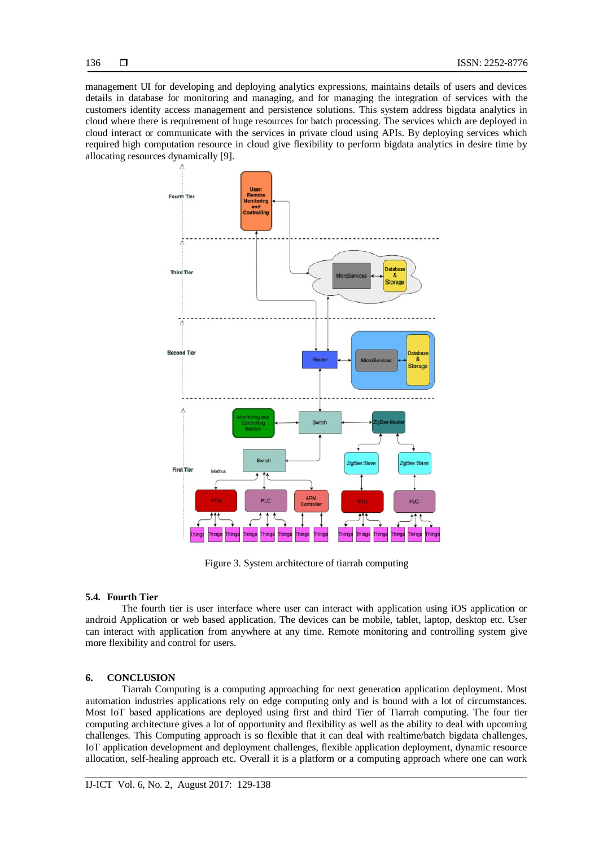management UI for developing and deploying analytics expressions, maintains details of users and devices details in database for monitoring and managing, and for managing the integration of services with the customers identity access management and persistence solutions. This system address bigdata analytics in cloud where there is requirement of huge resources for batch processing. The services which are deployed in cloud interact or communicate with the services in private cloud using APIs. By deploying services which required high computation resource in cloud give flexibility to perform bigdata analytics in desire time by allocating resources dynamically [9].



Figure 3. System architecture of tiarrah computing

# **5.4. Fourth Tier**

The fourth tier is user interface where user can interact with application using iOS application or android Application or web based application. The devices can be mobile, tablet, laptop, desktop etc. User can interact with application from anywhere at any time. Remote monitoring and controlling system give more flexibility and control for users.

# **6. CONCLUSION**

Tiarrah Computing is a computing approaching for next generation application deployment. Most automation industries applications rely on edge computing only and is bound with a lot of circumstances. Most IoT based applications are deployed using first and third Tier of Tiarrah computing. The four tier computing architecture gives a lot of opportunity and flexibility as well as the ability to deal with upcoming challenges. This Computing approach is so flexible that it can deal with realtime/batch bigdata challenges, IoT application development and deployment challenges, flexible application deployment, dynamic resource allocation, self-healing approach etc. Overall it is a platform or a computing approach where one can work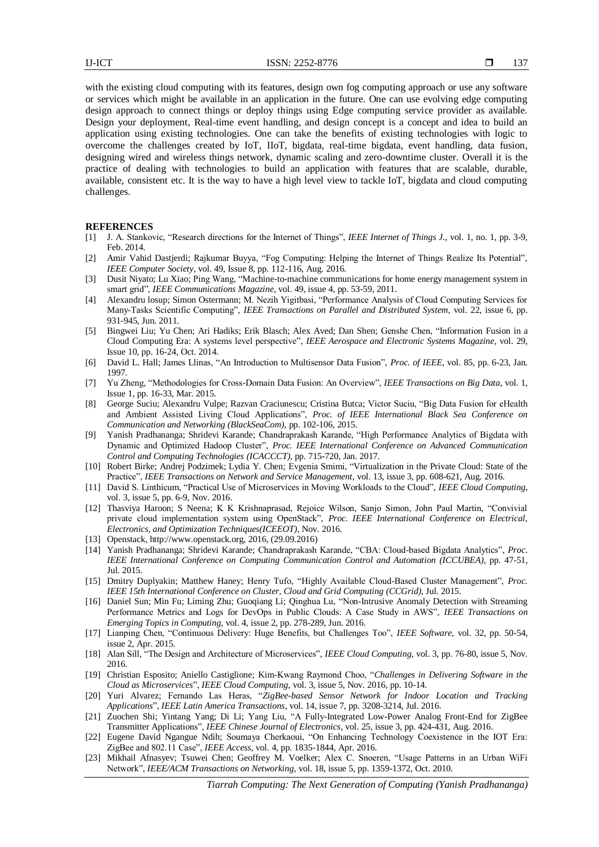with the existing cloud computing with its features, design own fog computing approach or use any software or services which might be available in an application in the future. One can use evolving edge computing design approach to connect things or deploy things using Edge computing service provider as available. Design your deployment, Real-time event handling, and design concept is a concept and idea to build an application using existing technologies. One can take the benefits of existing technologies with logic to overcome the challenges created by IoT, IIoT, bigdata, real-time bigdata, event handling, data fusion, designing wired and wireless things network, dynamic scaling and zero-downtime cluster. Overall it is the practice of dealing with technologies to build an application with features that are scalable, durable, available, consistent etc. It is the way to have a high level view to tackle IoT, bigdata and cloud computing challenges.

#### **REFERENCES**

- [1] J. A. Stankovic, "Research directions for the Internet of Things", *IEEE Internet of Things J.*, vol. 1, no. 1, pp. 3-9, Feb. 2014.
- [2] Amir Vahid Dastjerdi; Rajkumar Buyya, "Fog Computing: Helping the Internet of Things Realize Its Potential", *IEEE Computer Society*, vol. 49, Issue 8, pp. 112-116, Aug. 2016.
- [3] Dusit Niyato; Lu Xiao; Ping Wang, "Machine-to-machine communications for home energy management system in smart grid", *IEEE Communications Magazine*, vol. 49, issue 4, pp. 53-59, 2011.
- [4] Alexandru losup; Simon Ostermann; M. Nezih Yigitbasi, "Performance Analysis of Cloud Computing Services for Many-Tasks Scientific Computing", *IEEE Transactions on Parallel and Distributed System*, vol. 22, issue 6, pp. 931-945, Jun. 2011.
- [5] Bingwei Liu; Yu Chen; Ari Hadiks; Erik Blasch; Alex Aved; Dan Shen; Genshe Chen, "Information Fusion in a Cloud Computing Era: A systems level perspective", *IEEE Aerospace and Electronic Systems Magazine*, vol. 29, Issue 10, pp. 16-24, Oct. 2014.
- [6] David L. Hall; James Llinas, "An Introduction to Multisensor Data Fusion", *Proc. of IEEE*, vol. 85, pp. 6-23, Jan. 1997.
- [7] Yu Zheng, "Methodologies for Cross-Domain Data Fusion: An Overview", *IEEE Transactions on Big Data*, vol. 1, Issue 1, pp. 16-33, Mar. 2015.
- [8] George Suciu; Alexandru Vulpe; Razvan Craciunescu; Cristina Butca; Victor Suciu, "Big Data Fusion for eHealth and Ambient Assisted Living Cloud Applications", *Proc. of IEEE International Black Sea Conference on Communication and Networking (BlackSeaCom)*, pp. 102-106, 2015.
- [9] Yanish Pradhananga; Shridevi Karande; Chandraprakash Karande, "High Performance Analytics of Bigdata with Dynamic and Optimized Hadoop Cluster", *Proc. IEEE International Conference on Advanced Communication Control and Computing Technologies (ICACCCT)*, pp. 715-720, Jan. 2017.
- [10] Robert Birke; Andrej Podzimek; Lydia Y. Chen; Evgenia Smimi, "Virtualization in the Private Cloud: State of the Practice", *IEEE Transactions on Network and Service Management*, vol. 13, issue 3, pp. 608-621, Aug. 2016.
- [11] David S. Linthicum, "Practical Use of Microservices in Moving Workloads to the Cloud", *IEEE Cloud Computing*, vol. 3, issue 5, pp. 6-9, Nov. 2016.
- [12] Thasviya Haroon; S Neena; K K Krishnaprasad, Rejoice Wilson, Sanjo Simon, John Paul Martin, "Convivial private cloud implementation system using OpenStack", *Proc. IEEE International Conference on Electrical, Electronics, and Optimization Techniques(ICEEOT)*, Nov. 2016.
- [13] Openstack, http://www.openstack.org, 2016, (29.09.2016)
- [14] Yanish Pradhananga; Shridevi Karande; Chandraprakash Karande, "CBA: Cloud-based Bigdata Analytics", *Proc. IEEE International Conference on Computing Communication Control and Automation (ICCUBEA)*, pp. 47-51, Jul. 2015.
- [15] Dmitry Duplyakin; Matthew Haney; Henry Tufo, "Highly Available Cloud-Based Cluster Management", *Proc. IEEE 15th International Conference on Cluster, Cloud and Grid Computing (CCGrid)*, Jul. 2015.
- [16] Daniel Sun; Min Fu; Liming Zhu; Guoqiang Li; Qinghua Lu, "Non-Intrusive Anomaly Detection with Streaming Performance Metrics and Logs for DevOps in Public Clouds: A Case Study in AWS", *IEEE Transactions on Emerging Topics in Computing*, vol. 4, issue 2, pp. 278-289, Jun. 2016.
- [17] Lianping Chen, "Continuous Delivery: Huge Benefits, but Challenges Too", *IEEE Software*, vol. 32, pp. 50-54, issue 2, Apr. 2015.
- [18] Alan Sill, "The Design and Architecture of Microservices", *IEEE Cloud Computing*, vol. 3, pp. 76-80, issue 5, Nov. 2016.
- [19] Christian Esposito; Aniello Castiglione; Kim-Kwang Raymond Choo, "*Challenges in Delivering Software in the Cloud as Microservices*", *IEEE Cloud Computing*, vol. 3, issue 5, Nov. 2016, pp. 10-14.
- [20] Yuri Alvarez; Fernando Las Heras, "*ZigBee-based Sensor Network for Indoor Location and Tracking Applications*", *IEEE Latin America Transactions*, vol. 14, issue 7, pp. 3208-3214, Jul. 2016.
- [21] Zuochen Shi; Yintang Yang; Di Li; Yang Liu, "A Fully-Integrated Low-Power Analog Front-End for ZigBee Transmitter Applications", *IEEE Chinese Journal of Electronics*, vol. 25, issue 3, pp. 424-431, Aug. 2016.
- [22] Eugene David Ngangue Ndih; Soumaya Cherkaoui, "On Enhancing Technology Coexistence in the IOT Era: ZigBee and 802.11 Case", *IEEE Access*, vol. 4, pp. 1835-1844, Apr. 2016.
- [23] Mikhail Afnasyev; Tsuwei Chen; Geoffrey M. Voelker; Alex C. Snoeren, "Usage Patterns in an Urban WiFi Network", *IEEE/ACM Transactions on Networking*, vol. 18, issue 5, pp. 1359-1372, Oct. 2010.